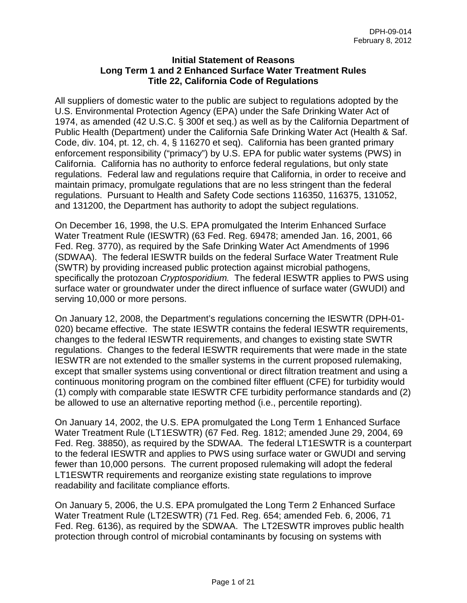### **Initial Statement of Reasons Long Term 1 and 2 Enhanced Surface Water Treatment Rules Title 22, California Code of Regulations**

All suppliers of domestic water to the public are subject to regulations adopted by the U.S. Environmental Protection Agency (EPA) under the Safe Drinking Water Act of 1974, as amended (42 U.S.C. § 300f et seq.) as well as by the California Department of Public Health (Department) under the California Safe Drinking Water Act (Health & Saf. Code, div. 104, pt. 12, ch. 4, § 116270 et seq). California has been granted primary enforcement responsibility ("primacy") by U.S. EPA for public water systems (PWS) in California. California has no authority to enforce federal regulations, but only state regulations. Federal law and regulations require that California, in order to receive and maintain primacy, promulgate regulations that are no less stringent than the federal regulations. Pursuant to Health and Safety Code sections 116350, 116375, 131052, and 131200, the Department has authority to adopt the subject regulations.

On December 16, 1998, the U.S. EPA promulgated the Interim Enhanced Surface Water Treatment Rule (IESWTR) (63 Fed. Reg. 69478; amended Jan. 16, 2001, 66 Fed. Reg. 3770), as required by the Safe Drinking Water Act Amendments of 1996 (SDWAA). The federal IESWTR builds on the federal Surface Water Treatment Rule (SWTR) by providing increased public protection against microbial pathogens, specifically the protozoan *Cryptosporidium.* The federal IESWTR applies to PWS using surface water or groundwater under the direct influence of surface water (GWUDI) and serving 10,000 or more persons.

On January 12, 2008, the Department's regulations concerning the IESWTR (DPH-01- 020) became effective. The state IESWTR contains the federal IESWTR requirements, changes to the federal IESWTR requirements, and changes to existing state SWTR regulations. Changes to the federal IESWTR requirements that were made in the state IESWTR are not extended to the smaller systems in the current proposed rulemaking, except that smaller systems using conventional or direct filtration treatment and using a continuous monitoring program on the combined filter effluent (CFE) for turbidity would (1) comply with comparable state IESWTR CFE turbidity performance standards and (2) be allowed to use an alternative reporting method (i.e., percentile reporting).

On January 14, 2002, the U.S. EPA promulgated the Long Term 1 Enhanced Surface Water Treatment Rule (LT1ESWTR) (67 Fed. Reg. 1812; amended June 29, 2004, 69 Fed. Reg. 38850), as required by the SDWAA. The federal LT1ESWTR is a counterpart to the federal IESWTR and applies to PWS using surface water or GWUDI and serving fewer than 10,000 persons. The current proposed rulemaking will adopt the federal LT1ESWTR requirements and reorganize existing state regulations to improve readability and facilitate compliance efforts.

On January 5, 2006, the U.S. EPA promulgated the Long Term 2 Enhanced Surface Water Treatment Rule (LT2ESWTR) (71 Fed. Reg. 654; amended Feb. 6, 2006, 71 Fed. Reg. 6136), as required by the SDWAA. The LT2ESWTR improves public health protection through control of microbial contaminants by focusing on systems with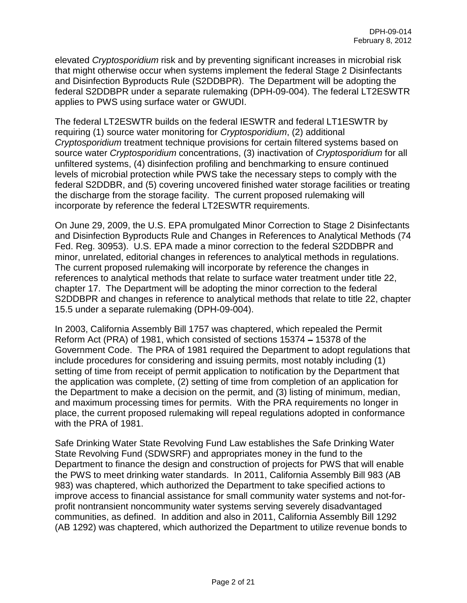elevated *Cryptosporidium* risk and by preventing significant increases in microbial risk that might otherwise occur when systems implement the federal Stage 2 Disinfectants and Disinfection Byproducts Rule (S2DDBPR). The Department will be adopting the federal S2DDBPR under a separate rulemaking (DPH-09-004). The federal LT2ESWTR applies to PWS using surface water or GWUDI.

The federal LT2ESWTR builds on the federal IESWTR and federal LT1ESWTR by requiring (1) source water monitoring for *Cryptosporidium*, (2) additional *Cryptosporidium* treatment technique provisions for certain filtered systems based on source water *Cryptosporidium* concentrations, (3) inactivation of *Cryptosporidium* for all unfiltered systems, (4) disinfection profiling and benchmarking to ensure continued levels of microbial protection while PWS take the necessary steps to comply with the federal S2DDBR, and (5) covering uncovered finished water storage facilities or treating the discharge from the storage facility. The current proposed rulemaking will incorporate by reference the federal LT2ESWTR requirements.

On June 29, 2009, the U.S. EPA promulgated Minor Correction to Stage 2 Disinfectants and Disinfection Byproducts Rule and Changes in References to Analytical Methods (74 Fed. Reg. 30953). U.S. EPA made a minor correction to the federal S2DDBPR and minor, unrelated, editorial changes in references to analytical methods in regulations. The current proposed rulemaking will incorporate by reference the changes in references to analytical methods that relate to surface water treatment under title 22, chapter 17. The Department will be adopting the minor correction to the federal S2DDBPR and changes in reference to analytical methods that relate to title 22, chapter 15.5 under a separate rulemaking (DPH-09-004).

In 2003, California Assembly Bill 1757 was chaptered, which repealed the Permit Reform Act (PRA) of 1981, which consisted of sections 15374 – 15378 of the Government Code. The PRA of 1981 required the Department to adopt regulations that include procedures for considering and issuing permits, most notably including (1) setting of time from receipt of permit application to notification by the Department that the application was complete, (2) setting of time from completion of an application for the Department to make a decision on the permit, and (3) listing of minimum, median, and maximum processing times for permits. With the PRA requirements no longer in place, the current proposed rulemaking will repeal regulations adopted in conformance with the PRA of 1981.

Safe Drinking Water State Revolving Fund Law establishes the Safe Drinking Water State Revolving Fund (SDWSRF) and appropriates money in the fund to the Department to finance the design and construction of projects for PWS that will enable the PWS to meet drinking water standards. In 2011, California Assembly Bill 983 (AB 983) was chaptered, which authorized the Department to take specified actions to improve access to financial assistance for small community water systems and not-forprofit nontransient noncommunity water systems serving severely disadvantaged communities, as defined. In addition and also in 2011, California Assembly Bill 1292 (AB 1292) was chaptered, which authorized the Department to utilize revenue bonds to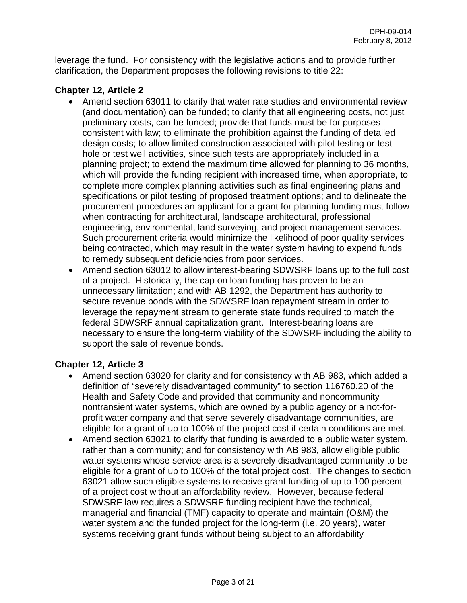leverage the fund. For consistency with the legislative actions and to provide further clarification, the Department proposes the following revisions to title 22:

# **Chapter 12, Article 2**

- Amend section 63011 to clarify that water rate studies and environmental review (and documentation) can be funded; to clarify that all engineering costs, not just preliminary costs, can be funded; provide that funds must be for purposes consistent with law; to eliminate the prohibition against the funding of detailed design costs; to allow limited construction associated with pilot testing or test hole or test well activities, since such tests are appropriately included in a planning project; to extend the maximum time allowed for planning to 36 months, which will provide the funding recipient with increased time, when appropriate, to complete more complex planning activities such as final engineering plans and specifications or pilot testing of proposed treatment options; and to delineate the procurement procedures an applicant for a grant for planning funding must follow when contracting for architectural, landscape architectural, professional engineering, environmental, land surveying, and project management services. Such procurement criteria would minimize the likelihood of poor quality services being contracted, which may result in the water system having to expend funds to remedy subsequent deficiencies from poor services.
- Amend section 63012 to allow interest-bearing SDWSRF loans up to the full cost of a project. Historically, the cap on loan funding has proven to be an unnecessary limitation; and with AB 1292, the Department has authority to secure revenue bonds with the SDWSRF loan repayment stream in order to leverage the repayment stream to generate state funds required to match the federal SDWSRF annual capitalization grant. Interest-bearing loans are necessary to ensure the long-term viability of the SDWSRF including the ability to support the sale of revenue bonds.

# **Chapter 12, Article 3**

- Amend section 63020 for clarity and for consistency with AB 983, which added a definition of "severely disadvantaged community" to section 116760.20 of the Health and Safety Code and provided that community and noncommunity nontransient water systems, which are owned by a public agency or a not-forprofit water company and that serve severely disadvantage communities, are eligible for a grant of up to 100% of the project cost if certain conditions are met.
- Amend section 63021 to clarify that funding is awarded to a public water system, rather than a community; and for consistency with AB 983, allow eligible public water systems whose service area is a severely disadvantaged community to be eligible for a grant of up to 100% of the total project cost. The changes to section 63021 allow such eligible systems to receive grant funding of up to 100 percent of a project cost without an affordability review. However, because federal SDWSRF law requires a SDWSRF funding recipient have the technical, managerial and financial (TMF) capacity to operate and maintain (O&M) the water system and the funded project for the long-term (i.e. 20 years), water systems receiving grant funds without being subject to an affordability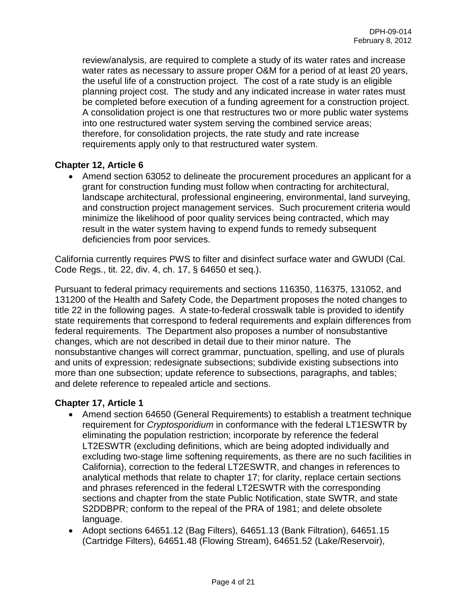review/analysis, are required to complete a study of its water rates and increase water rates as necessary to assure proper O&M for a period of at least 20 years, the useful life of a construction project. The cost of a rate study is an eligible planning project cost. The study and any indicated increase in water rates must be completed before execution of a funding agreement for a construction project. A consolidation project is one that restructures two or more public water systems into one restructured water system serving the combined service areas; therefore, for consolidation projects, the rate study and rate increase requirements apply only to that restructured water system.

# **Chapter 12, Article 6**

• Amend section 63052 to delineate the procurement procedures an applicant for a grant for construction funding must follow when contracting for architectural, landscape architectural, professional engineering, environmental, land surveying, and construction project management services. Such procurement criteria would minimize the likelihood of poor quality services being contracted, which may result in the water system having to expend funds to remedy subsequent deficiencies from poor services.

California currently requires PWS to filter and disinfect surface water and GWUDI (Cal. Code Regs., tit. 22, div. 4, ch. 17, § 64650 et seq.).

Pursuant to federal primacy requirements and sections 116350, 116375, 131052, and 131200 of the Health and Safety Code, the Department proposes the noted changes to title 22 in the following pages. A state-to-federal crosswalk table is provided to identify state requirements that correspond to federal requirements and explain differences from federal requirements. The Department also proposes a number of nonsubstantive changes, which are not described in detail due to their minor nature. The nonsubstantive changes will correct grammar, punctuation, spelling, and use of plurals and units of expression; redesignate subsections; subdivide existing subsections into more than one subsection; update reference to subsections, paragraphs, and tables; and delete reference to repealed article and sections.

# **Chapter 17, Article 1**

- Amend section 64650 (General Requirements) to establish a treatment technique requirement for *Cryptosporidium* in conformance with the federal LT1ESWTR by eliminating the population restriction; incorporate by reference the federal LT2ESWTR (excluding definitions, which are being adopted individually and excluding two-stage lime softening requirements, as there are no such facilities in California), correction to the federal LT2ESWTR, and changes in references to analytical methods that relate to chapter 17; for clarity, replace certain sections and phrases referenced in the federal LT2ESWTR with the corresponding sections and chapter from the state Public Notification, state SWTR, and state S2DDBPR; conform to the repeal of the PRA of 1981; and delete obsolete language.
- Adopt sections 64651.12 (Bag Filters), 64651.13 (Bank Filtration), 64651.15 (Cartridge Filters), 64651.48 (Flowing Stream), 64651.52 (Lake/Reservoir),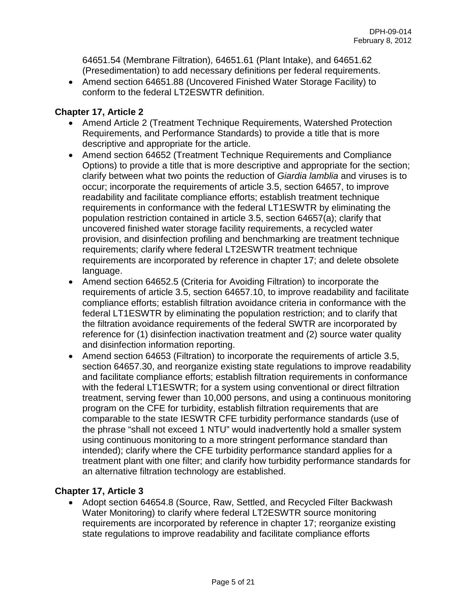64651.54 (Membrane Filtration), 64651.61 (Plant Intake), and 64651.62 (Presedimentation) to add necessary definitions per federal requirements.

• Amend section 64651.88 (Uncovered Finished Water Storage Facility) to conform to the federal LT2ESWTR definition.

# **Chapter 17, Article 2**

- Amend Article 2 (Treatment Technique Requirements, Watershed Protection Requirements, and Performance Standards) to provide a title that is more descriptive and appropriate for the article.
- Amend section 64652 (Treatment Technique Requirements and Compliance Options) to provide a title that is more descriptive and appropriate for the section; clarify between what two points the reduction of *Giardia lamblia* and viruses is to occur; incorporate the requirements of article 3.5, section 64657, to improve readability and facilitate compliance efforts; establish treatment technique requirements in conformance with the federal LT1ESWTR by eliminating the population restriction contained in article 3.5, section 64657(a); clarify that uncovered finished water storage facility requirements, a recycled water provision, and disinfection profiling and benchmarking are treatment technique requirements; clarify where federal LT2ESWTR treatment technique requirements are incorporated by reference in chapter 17; and delete obsolete language.
- Amend section 64652.5 (Criteria for Avoiding Filtration) to incorporate the requirements of article 3.5, section 64657.10, to improve readability and facilitate compliance efforts; establish filtration avoidance criteria in conformance with the federal LT1ESWTR by eliminating the population restriction; and to clarify that the filtration avoidance requirements of the federal SWTR are incorporated by reference for (1) disinfection inactivation treatment and (2) source water quality and disinfection information reporting.
- Amend section 64653 (Filtration) to incorporate the requirements of article 3.5, section 64657.30, and reorganize existing state regulations to improve readability and facilitate compliance efforts; establish filtration requirements in conformance with the federal LT1ESWTR; for a system using conventional or direct filtration treatment, serving fewer than 10,000 persons, and using a continuous monitoring program on the CFE for turbidity, establish filtration requirements that are comparable to the state IESWTR CFE turbidity performance standards (use of the phrase "shall not exceed 1 NTU" would inadvertently hold a smaller system using continuous monitoring to a more stringent performance standard than intended); clarify where the CFE turbidity performance standard applies for a treatment plant with one filter; and clarify how turbidity performance standards for an alternative filtration technology are established.

# **Chapter 17, Article 3**

• Adopt section 64654.8 (Source, Raw, Settled, and Recycled Filter Backwash Water Monitoring) to clarify where federal LT2ESWTR source monitoring requirements are incorporated by reference in chapter 17; reorganize existing state regulations to improve readability and facilitate compliance efforts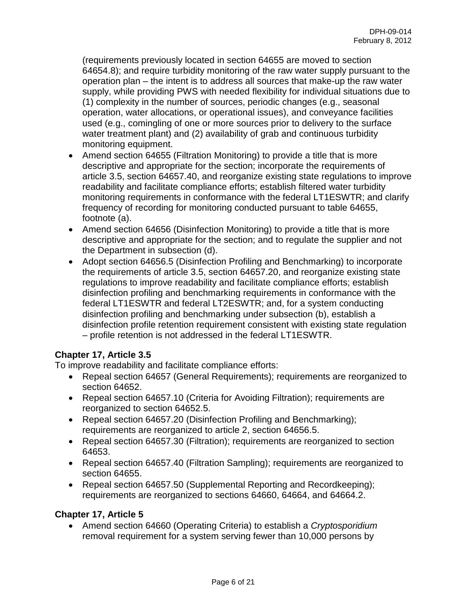(requirements previously located in section 64655 are moved to section 64654.8); and require turbidity monitoring of the raw water supply pursuant to the operation plan – the intent is to address all sources that make-up the raw water supply, while providing PWS with needed flexibility for individual situations due to (1) complexity in the number of sources, periodic changes (e.g., seasonal operation, water allocations, or operational issues), and conveyance facilities used (e.g., comingling of one or more sources prior to delivery to the surface water treatment plant) and (2) availability of grab and continuous turbidity monitoring equipment.

- Amend section 64655 (Filtration Monitoring) to provide a title that is more descriptive and appropriate for the section; incorporate the requirements of article 3.5, section 64657.40, and reorganize existing state regulations to improve readability and facilitate compliance efforts; establish filtered water turbidity monitoring requirements in conformance with the federal LT1ESWTR; and clarify frequency of recording for monitoring conducted pursuant to table 64655, footnote (a).
- Amend section 64656 (Disinfection Monitoring) to provide a title that is more descriptive and appropriate for the section; and to regulate the supplier and not the Department in subsection (d).
- Adopt section 64656.5 (Disinfection Profiling and Benchmarking) to incorporate the requirements of article 3.5, section 64657.20, and reorganize existing state regulations to improve readability and facilitate compliance efforts; establish disinfection profiling and benchmarking requirements in conformance with the federal LT1ESWTR and federal LT2ESWTR; and, for a system conducting disinfection profiling and benchmarking under subsection (b), establish a disinfection profile retention requirement consistent with existing state regulation – profile retention is not addressed in the federal LT1ESWTR.

# **Chapter 17, Article 3.5**

To improve readability and facilitate compliance efforts:

- Repeal section 64657 (General Requirements); requirements are reorganized to section 64652.
- Repeal section 64657.10 (Criteria for Avoiding Filtration); requirements are reorganized to section 64652.5.
- Repeal section 64657.20 (Disinfection Profiling and Benchmarking); requirements are reorganized to article 2, section 64656.5.
- Repeal section 64657.30 (Filtration); requirements are reorganized to section 64653.
- Repeal section 64657.40 (Filtration Sampling); requirements are reorganized to section 64655.
- Repeal section 64657.50 (Supplemental Reporting and Recordkeeping); requirements are reorganized to sections 64660, 64664, and 64664.2.

# **Chapter 17, Article 5**

• Amend section 64660 (Operating Criteria) to establish a *Cryptosporidium* removal requirement for a system serving fewer than 10,000 persons by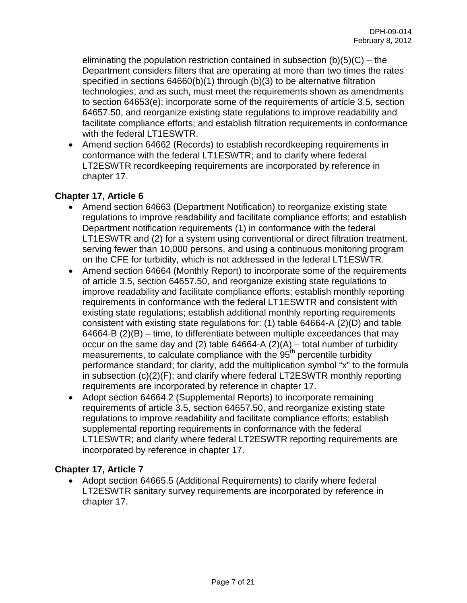eliminating the population restriction contained in subsection  $(b)(5)(C)$  – the Department considers filters that are operating at more than two times the rates specified in sections 64660(b)(1) through (b)(3) to be alternative filtration technologies, and as such, must meet the requirements shown as amendments to section 64653(e); incorporate some of the requirements of article 3.5, section 64657.50, and reorganize existing state regulations to improve readability and facilitate compliance efforts; and establish filtration requirements in conformance with the federal LT1ESWTR.

• Amend section 64662 (Records) to establish recordkeeping requirements in conformance with the federal LT1ESWTR; and to clarify where federal LT2ESWTR recordkeeping requirements are incorporated by reference in chapter 17.

# **Chapter 17, Article 6**

- Amend section 64663 (Department Notification) to reorganize existing state regulations to improve readability and facilitate compliance efforts; and establish Department notification requirements (1) in conformance with the federal LT1ESWTR and (2) for a system using conventional or direct filtration treatment, serving fewer than 10,000 persons, and using a continuous monitoring program on the CFE for turbidity, which is not addressed in the federal LT1ESWTR.
- Amend section 64664 (Monthly Report) to incorporate some of the requirements of article 3.5, section 64657.50, and reorganize existing state regulations to improve readability and facilitate compliance efforts; establish monthly reporting requirements in conformance with the federal LT1ESWTR and consistent with existing state regulations; establish additional monthly reporting requirements consistent with existing state regulations for: (1) table 64664-A (2)(D) and table 64664-B (2)(B) – time, to differentiate between multiple exceedances that may occur on the same day and (2) table  $64664-A(2)(A)$  – total number of turbidity measurements, to calculate compliance with the  $95<sup>th</sup>$  percentile turbidity performance standard; for clarity, add the multiplication symbol "x" to the formula in subsection (c)(2)(F); and clarify where federal LT2ESWTR monthly reporting requirements are incorporated by reference in chapter 17.
- Adopt section 64664.2 (Supplemental Reports) to incorporate remaining requirements of article 3.5, section 64657.50, and reorganize existing state regulations to improve readability and facilitate compliance efforts; establish supplemental reporting requirements in conformance with the federal LT1ESWTR; and clarify where federal LT2ESWTR reporting requirements are incorporated by reference in chapter 17.

### **Chapter 17, Article 7**

• Adopt section 64665.5 (Additional Requirements) to clarify where federal LT2ESWTR sanitary survey requirements are incorporated by reference in chapter 17.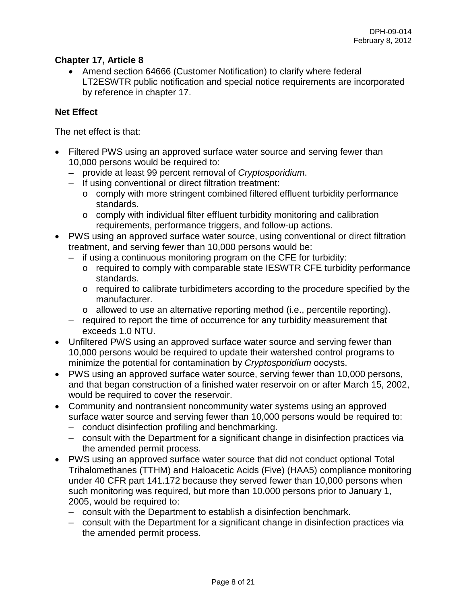# **Chapter 17, Article 8**

• Amend section 64666 (Customer Notification) to clarify where federal LT2ESWTR public notification and special notice requirements are incorporated by reference in chapter 17.

# **Net Effect**

The net effect is that:

- Filtered PWS using an approved surface water source and serving fewer than 10,000 persons would be required to:
	- provide at least 99 percent removal of *Cryptosporidium*.
	- If using conventional or direct filtration treatment:
		- o comply with more stringent combined filtered effluent turbidity performance standards.
		- o comply with individual filter effluent turbidity monitoring and calibration requirements, performance triggers, and follow-up actions.
- PWS using an approved surface water source, using conventional or direct filtration treatment, and serving fewer than 10,000 persons would be:
	- if using a continuous monitoring program on the CFE for turbidity:
		- o required to comply with comparable state IESWTR CFE turbidity performance standards.
		- o required to calibrate turbidimeters according to the procedure specified by the manufacturer.
		- o allowed to use an alternative reporting method (i.e., percentile reporting).
	- required to report the time of occurrence for any turbidity measurement that exceeds 1.0 NTU.
- Unfiltered PWS using an approved surface water source and serving fewer than 10,000 persons would be required to update their watershed control programs to minimize the potential for contamination by *Cryptosporidium* oocysts.
- PWS using an approved surface water source, serving fewer than 10,000 persons, and that began construction of a finished water reservoir on or after March 15, 2002, would be required to cover the reservoir.
- Community and nontransient noncommunity water systems using an approved surface water source and serving fewer than 10,000 persons would be required to:
	- conduct disinfection profiling and benchmarking.
	- consult with the Department for a significant change in disinfection practices via the amended permit process.
- PWS using an approved surface water source that did not conduct optional Total Trihalomethanes (TTHM) and Haloacetic Acids (Five) (HAA5) compliance monitoring under 40 CFR part 141.172 because they served fewer than 10,000 persons when such monitoring was required, but more than 10,000 persons prior to January 1, 2005, would be required to:
	- consult with the Department to establish a disinfection benchmark.
	- consult with the Department for a significant change in disinfection practices via the amended permit process.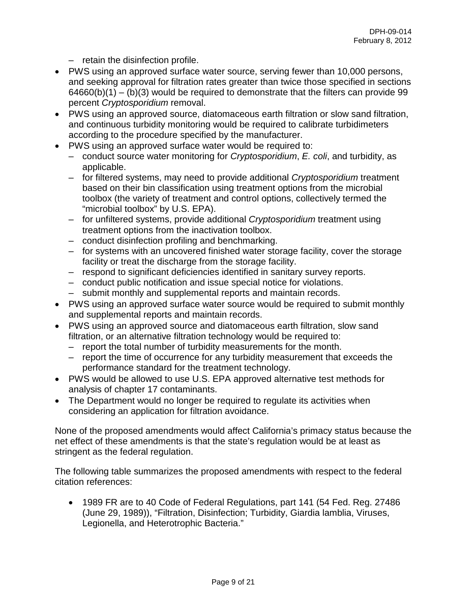– retain the disinfection profile.

- PWS using an approved surface water source, serving fewer than 10,000 persons, and seeking approval for filtration rates greater than twice those specified in sections  $64660(b)(1) - (b)(3)$  would be required to demonstrate that the filters can provide 99 percent *Cryptosporidium* removal.
- PWS using an approved source, diatomaceous earth filtration or slow sand filtration, and continuous turbidity monitoring would be required to calibrate turbidimeters according to the procedure specified by the manufacturer.
- PWS using an approved surface water would be required to:
	- conduct source water monitoring for *Cryptosporidium*, *E. coli*, and turbidity, as applicable.
	- for filtered systems, may need to provide additional *Cryptosporidium* treatment based on their bin classification using treatment options from the microbial toolbox (the variety of treatment and control options, collectively termed the "microbial toolbox" by U.S. EPA).
	- for unfiltered systems, provide additional *Cryptosporidium* treatment using treatment options from the inactivation toolbox.
	- conduct disinfection profiling and benchmarking.
	- for systems with an uncovered finished water storage facility, cover the storage facility or treat the discharge from the storage facility.
	- respond to significant deficiencies identified in sanitary survey reports.
	- conduct public notification and issue special notice for violations.
	- submit monthly and supplemental reports and maintain records.
- PWS using an approved surface water source would be required to submit monthly and supplemental reports and maintain records.
- PWS using an approved source and diatomaceous earth filtration, slow sand filtration, or an alternative filtration technology would be required to:
	- report the total number of turbidity measurements for the month.
	- report the time of occurrence for any turbidity measurement that exceeds the performance standard for the treatment technology.
- PWS would be allowed to use U.S. EPA approved alternative test methods for analysis of chapter 17 contaminants.
- The Department would no longer be required to regulate its activities when considering an application for filtration avoidance.

None of the proposed amendments would affect California's primacy status because the net effect of these amendments is that the state's regulation would be at least as stringent as the federal regulation.

The following table summarizes the proposed amendments with respect to the federal citation references:

• 1989 FR are to 40 Code of Federal Regulations, part 141 (54 Fed. Reg. 27486 (June 29, 1989)), "Filtration, Disinfection; Turbidity, Giardia lamblia, Viruses, Legionella, and Heterotrophic Bacteria."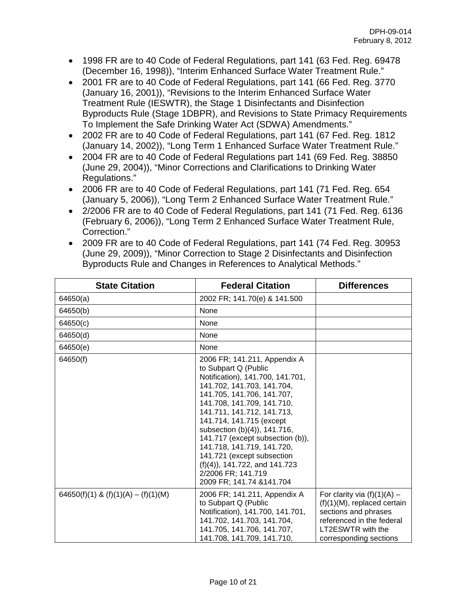- 1998 FR are to 40 Code of Federal Regulations, part 141 (63 Fed. Reg. 69478 (December 16, 1998)), "Interim Enhanced Surface Water Treatment Rule."
- 2001 FR are to 40 Code of Federal Regulations, part 141 (66 Fed. Reg. 3770 (January 16, 2001)), "Revisions to the Interim Enhanced Surface Water Treatment Rule (IESWTR), the Stage 1 Disinfectants and Disinfection Byproducts Rule (Stage 1DBPR), and Revisions to State Primacy Requirements To Implement the Safe Drinking Water Act (SDWA) Amendments."
- 2002 FR are to 40 Code of Federal Regulations, part 141 (67 Fed. Reg. 1812 (January 14, 2002)), "Long Term 1 Enhanced Surface Water Treatment Rule."
- 2004 FR are to 40 Code of Federal Regulations part 141 (69 Fed. Reg. 38850 (June 29, 2004)), "Minor Corrections and Clarifications to Drinking Water Regulations."
- 2006 FR are to 40 Code of Federal Regulations, part 141 (71 Fed. Reg. 654 (January 5, 2006)), "Long Term 2 Enhanced Surface Water Treatment Rule."
- 2/2006 FR are to 40 Code of Federal Regulations, part 141 (71 Fed. Reg. 6136 (February 6, 2006)), "Long Term 2 Enhanced Surface Water Treatment Rule, Correction."
- 2009 FR are to 40 Code of Federal Regulations, part 141 (74 Fed. Reg. 30953 (June 29, 2009)), "Minor Correction to Stage 2 Disinfectants and Disinfection Byproducts Rule and Changes in References to Analytical Methods."

| <b>State Citation</b>               | <b>Federal Citation</b>                                                                                                                                                                                                                                                                                                                                                                                                                                            | <b>Differences</b>                                                                                                                                                  |
|-------------------------------------|--------------------------------------------------------------------------------------------------------------------------------------------------------------------------------------------------------------------------------------------------------------------------------------------------------------------------------------------------------------------------------------------------------------------------------------------------------------------|---------------------------------------------------------------------------------------------------------------------------------------------------------------------|
| 64650(a)                            | 2002 FR; 141.70(e) & 141.500                                                                                                                                                                                                                                                                                                                                                                                                                                       |                                                                                                                                                                     |
| 64650(b)                            | None                                                                                                                                                                                                                                                                                                                                                                                                                                                               |                                                                                                                                                                     |
| 64650(c)                            | None                                                                                                                                                                                                                                                                                                                                                                                                                                                               |                                                                                                                                                                     |
| 64650(d)                            | None                                                                                                                                                                                                                                                                                                                                                                                                                                                               |                                                                                                                                                                     |
| 64650(e)                            | None                                                                                                                                                                                                                                                                                                                                                                                                                                                               |                                                                                                                                                                     |
| 64650(f)                            | 2006 FR; 141.211, Appendix A<br>to Subpart Q (Public<br>Notification), 141.700, 141.701,<br>141.702, 141.703, 141.704,<br>141.705, 141.706, 141.707,<br>141.708, 141.709, 141.710,<br>141.711, 141.712, 141.713,<br>141.714, 141.715 (except<br>subsection (b)(4)), 141.716,<br>141.717 (except subsection (b)),<br>141.718, 141.719, 141.720,<br>141.721 (except subsection<br>$(f)(4)$ , 141.722, and 141.723<br>2/2006 FR; 141.719<br>2009 FR; 141.74 & 141.704 |                                                                                                                                                                     |
| 64650(f)(1) & (f)(1)(A) – (f)(1)(M) | 2006 FR; 141.211, Appendix A<br>to Subpart Q (Public<br>Notification), 141.700, 141.701,<br>141.702, 141.703, 141.704,<br>141.705, 141.706, 141.707,<br>141.708, 141.709, 141.710,                                                                                                                                                                                                                                                                                 | For clarity via $(f)(1)(A)$ –<br>$(f)(1)(M)$ , replaced certain<br>sections and phrases<br>referenced in the federal<br>LT2ESWTR with the<br>corresponding sections |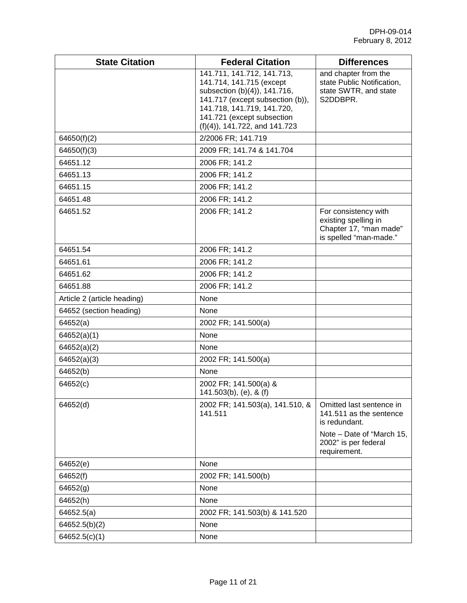| <b>State Citation</b>       | <b>Federal Citation</b>                                                                                                                                                                                                   | <b>Differences</b>                                                                               |
|-----------------------------|---------------------------------------------------------------------------------------------------------------------------------------------------------------------------------------------------------------------------|--------------------------------------------------------------------------------------------------|
|                             | 141.711, 141.712, 141.713,<br>141.714, 141.715 (except<br>subsection (b)(4)), 141.716,<br>141.717 (except subsection (b)),<br>141.718, 141.719, 141.720,<br>141.721 (except subsection<br>$(f)(4)$ , 141.722, and 141.723 | and chapter from the<br>state Public Notification,<br>state SWTR, and state<br>S2DDBPR.          |
| 64650(f)(2)                 | 2/2006 FR; 141.719                                                                                                                                                                                                        |                                                                                                  |
| 64650(f)(3)                 | 2009 FR; 141.74 & 141.704                                                                                                                                                                                                 |                                                                                                  |
| 64651.12                    | 2006 FR; 141.2                                                                                                                                                                                                            |                                                                                                  |
| 64651.13                    | 2006 FR; 141.2                                                                                                                                                                                                            |                                                                                                  |
| 64651.15                    | 2006 FR; 141.2                                                                                                                                                                                                            |                                                                                                  |
| 64651.48                    | 2006 FR; 141.2                                                                                                                                                                                                            |                                                                                                  |
| 64651.52                    | 2006 FR; 141.2                                                                                                                                                                                                            | For consistency with<br>existing spelling in<br>Chapter 17, "man made"<br>is spelled "man-made." |
| 64651.54                    | 2006 FR; 141.2                                                                                                                                                                                                            |                                                                                                  |
| 64651.61                    | 2006 FR; 141.2                                                                                                                                                                                                            |                                                                                                  |
| 64651.62                    | 2006 FR; 141.2                                                                                                                                                                                                            |                                                                                                  |
| 64651.88                    | 2006 FR; 141.2                                                                                                                                                                                                            |                                                                                                  |
| Article 2 (article heading) | None                                                                                                                                                                                                                      |                                                                                                  |
| 64652 (section heading)     | None                                                                                                                                                                                                                      |                                                                                                  |
| 64652(a)                    | 2002 FR; 141.500(a)                                                                                                                                                                                                       |                                                                                                  |
| 64652(a)(1)                 | None                                                                                                                                                                                                                      |                                                                                                  |
| 64652(a)(2)                 | None                                                                                                                                                                                                                      |                                                                                                  |
| 64652(a)(3)                 | 2002 FR; 141.500(a)                                                                                                                                                                                                       |                                                                                                  |
| 64652(b)                    | None                                                                                                                                                                                                                      |                                                                                                  |
| 64652(c)                    | 2002 FR; 141.500(a) &<br>$141.503(b)$ , (e), & (f)                                                                                                                                                                        |                                                                                                  |
| 64652(d)                    | 2002 FR; 141.503(a), 141.510, &<br>141.511                                                                                                                                                                                | Omitted last sentence in<br>141.511 as the sentence<br>is redundant.                             |
|                             |                                                                                                                                                                                                                           | Note - Date of "March 15,<br>2002" is per federal<br>requirement.                                |
| 64652(e)                    | None                                                                                                                                                                                                                      |                                                                                                  |
| 64652(f)                    | 2002 FR; 141.500(b)                                                                                                                                                                                                       |                                                                                                  |
| 64652(g)                    | None                                                                                                                                                                                                                      |                                                                                                  |
| 64652(h)                    | None                                                                                                                                                                                                                      |                                                                                                  |
| 64652.5(a)                  | 2002 FR; 141.503(b) & 141.520                                                                                                                                                                                             |                                                                                                  |
| 64652.5(b)(2)               | None                                                                                                                                                                                                                      |                                                                                                  |
| 64652.5(c)(1)               | None                                                                                                                                                                                                                      |                                                                                                  |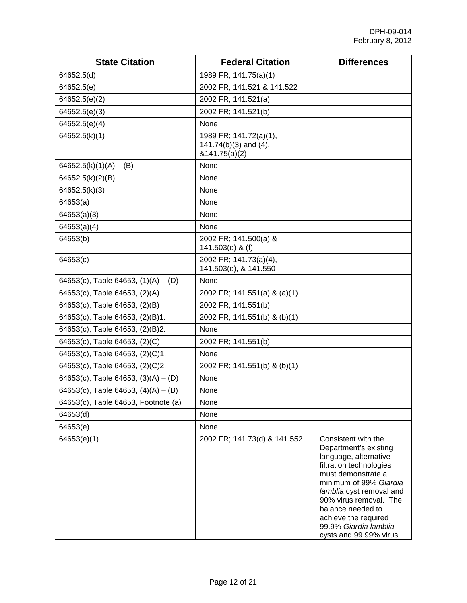| <b>State Citation</b>                 | <b>Federal Citation</b>                                               | <b>Differences</b>                                                                                                                                                                                                                                                                                     |
|---------------------------------------|-----------------------------------------------------------------------|--------------------------------------------------------------------------------------------------------------------------------------------------------------------------------------------------------------------------------------------------------------------------------------------------------|
| 64652.5(d)                            | 1989 FR; 141.75(a)(1)                                                 |                                                                                                                                                                                                                                                                                                        |
| 64652.5(e)                            | 2002 FR; 141.521 & 141.522                                            |                                                                                                                                                                                                                                                                                                        |
| 64652.5(e)(2)                         | 2002 FR; 141.521(a)                                                   |                                                                                                                                                                                                                                                                                                        |
| 64652.5(e)(3)                         | 2002 FR; 141.521(b)                                                   |                                                                                                                                                                                                                                                                                                        |
| 64652.5(e)(4)                         | None                                                                  |                                                                                                                                                                                                                                                                                                        |
| 64652.5(k)(1)                         | 1989 FR; 141.72(a)(1),<br>$141.74(b)(3)$ and $(4)$ ,<br>&141.75(a)(2) |                                                                                                                                                                                                                                                                                                        |
| $64652.5(k)(1)(A) - (B)$              | None                                                                  |                                                                                                                                                                                                                                                                                                        |
| 64652.5(k)(2)(B)                      | None                                                                  |                                                                                                                                                                                                                                                                                                        |
| 64652.5(k)(3)                         | None                                                                  |                                                                                                                                                                                                                                                                                                        |
| 64653(a)                              | None                                                                  |                                                                                                                                                                                                                                                                                                        |
| 64653(a)(3)                           | None                                                                  |                                                                                                                                                                                                                                                                                                        |
| 64653(a)(4)                           | None                                                                  |                                                                                                                                                                                                                                                                                                        |
| 64653(b)                              | 2002 FR; 141.500(a) &<br>141.503(e) & (f)                             |                                                                                                                                                                                                                                                                                                        |
| 64653(c)                              | 2002 FR; 141.73(a)(4),<br>141.503(e), & 141.550                       |                                                                                                                                                                                                                                                                                                        |
| 64653(c), Table 64653, $(1)(A) - (D)$ | None                                                                  |                                                                                                                                                                                                                                                                                                        |
| 64653(c), Table 64653, (2)(A)         | 2002 FR; 141.551(a) & (a)(1)                                          |                                                                                                                                                                                                                                                                                                        |
| 64653(c), Table 64653, (2)(B)         | 2002 FR; 141.551(b)                                                   |                                                                                                                                                                                                                                                                                                        |
| 64653(c), Table 64653, (2)(B)1.       | 2002 FR; 141.551(b) & (b)(1)                                          |                                                                                                                                                                                                                                                                                                        |
| 64653(c), Table 64653, (2)(B)2.       | None                                                                  |                                                                                                                                                                                                                                                                                                        |
| 64653(c), Table 64653, (2)(C)         | 2002 FR; 141.551(b)                                                   |                                                                                                                                                                                                                                                                                                        |
| 64653(c), Table 64653, (2)(C)1.       | None                                                                  |                                                                                                                                                                                                                                                                                                        |
| 64653(c), Table 64653, (2)(C)2.       | 2002 FR; 141.551(b) & (b)(1)                                          |                                                                                                                                                                                                                                                                                                        |
| 64653(c), Table 64653, $(3)(A) - (D)$ | None                                                                  |                                                                                                                                                                                                                                                                                                        |
| 64653(c), Table 64653, $(4)(A) - (B)$ | None                                                                  |                                                                                                                                                                                                                                                                                                        |
| 64653(c), Table 64653, Footnote (a)   | None                                                                  |                                                                                                                                                                                                                                                                                                        |
| 64653(d)                              | None                                                                  |                                                                                                                                                                                                                                                                                                        |
| 64653(e)                              | None                                                                  |                                                                                                                                                                                                                                                                                                        |
| 64653(e)(1)                           | 2002 FR; 141.73(d) & 141.552                                          | Consistent with the<br>Department's existing<br>language, alternative<br>filtration technologies<br>must demonstrate a<br>minimum of 99% Giardia<br>lamblia cyst removal and<br>90% virus removal. The<br>balance needed to<br>achieve the required<br>99.9% Giardia lamblia<br>cysts and 99.99% virus |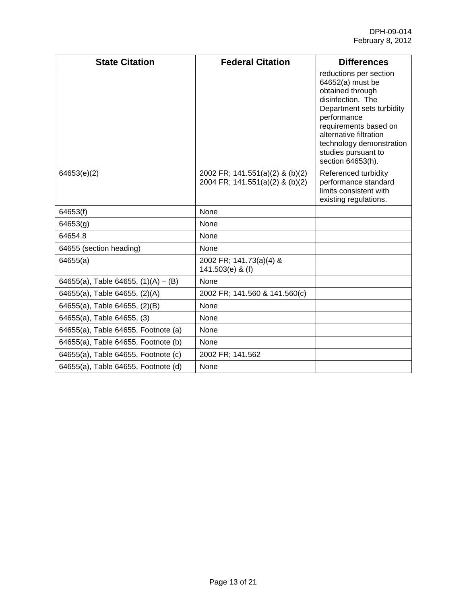| <b>State Citation</b>                 | <b>Federal Citation</b>                                            | <b>Differences</b>                                                                                                                                                                                                                                         |
|---------------------------------------|--------------------------------------------------------------------|------------------------------------------------------------------------------------------------------------------------------------------------------------------------------------------------------------------------------------------------------------|
|                                       |                                                                    | reductions per section<br>64652(a) must be<br>obtained through<br>disinfection. The<br>Department sets turbidity<br>performance<br>requirements based on<br>alternative filtration<br>technology demonstration<br>studies pursuant to<br>section 64653(h). |
| 64653(e)(2)                           | 2002 FR; 141.551(a)(2) & (b)(2)<br>2004 FR; 141.551(a)(2) & (b)(2) | Referenced turbidity<br>performance standard<br>limits consistent with<br>existing regulations.                                                                                                                                                            |
| 64653(f)                              | None                                                               |                                                                                                                                                                                                                                                            |
| 64653(g)                              | None                                                               |                                                                                                                                                                                                                                                            |
| 64654.8                               | None                                                               |                                                                                                                                                                                                                                                            |
| 64655 (section heading)               | None                                                               |                                                                                                                                                                                                                                                            |
| 64655(a)                              | 2002 FR; 141.73(a)(4) &<br>141.503(e) & (f)                        |                                                                                                                                                                                                                                                            |
| 64655(a), Table 64655, $(1)(A) - (B)$ | None                                                               |                                                                                                                                                                                                                                                            |
| 64655(a), Table 64655, (2)(A)         | 2002 FR; 141.560 & 141.560(c)                                      |                                                                                                                                                                                                                                                            |
| 64655(a), Table 64655, (2)(B)         | None                                                               |                                                                                                                                                                                                                                                            |
| 64655(a), Table 64655, (3)            | None                                                               |                                                                                                                                                                                                                                                            |
| 64655(a), Table 64655, Footnote (a)   | None                                                               |                                                                                                                                                                                                                                                            |
| 64655(a), Table 64655, Footnote (b)   | None                                                               |                                                                                                                                                                                                                                                            |
| 64655(a), Table 64655, Footnote (c)   | 2002 FR; 141.562                                                   |                                                                                                                                                                                                                                                            |
| 64655(a), Table 64655, Footnote (d)   | None                                                               |                                                                                                                                                                                                                                                            |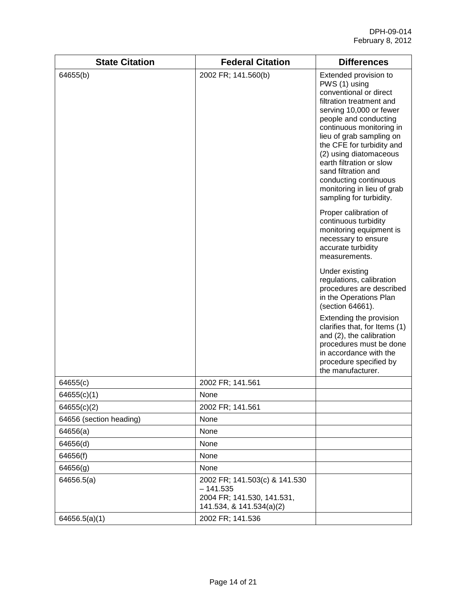| <b>State Citation</b>   | <b>Federal Citation</b>                                                                               | <b>Differences</b>                                                                                                                                                                                                                                                                                                                                                                                   |
|-------------------------|-------------------------------------------------------------------------------------------------------|------------------------------------------------------------------------------------------------------------------------------------------------------------------------------------------------------------------------------------------------------------------------------------------------------------------------------------------------------------------------------------------------------|
| 64655(b)                | 2002 FR; 141.560(b)                                                                                   | Extended provision to<br>PWS (1) using<br>conventional or direct<br>filtration treatment and<br>serving 10,000 or fewer<br>people and conducting<br>continuous monitoring in<br>lieu of grab sampling on<br>the CFE for turbidity and<br>(2) using diatomaceous<br>earth filtration or slow<br>sand filtration and<br>conducting continuous<br>monitoring in lieu of grab<br>sampling for turbidity. |
|                         |                                                                                                       | Proper calibration of<br>continuous turbidity<br>monitoring equipment is<br>necessary to ensure<br>accurate turbidity<br>measurements.                                                                                                                                                                                                                                                               |
|                         |                                                                                                       | Under existing<br>regulations, calibration<br>procedures are described<br>in the Operations Plan<br>(section 64661).                                                                                                                                                                                                                                                                                 |
|                         |                                                                                                       | Extending the provision<br>clarifies that, for Items (1)<br>and (2), the calibration<br>procedures must be done<br>in accordance with the<br>procedure specified by<br>the manufacturer.                                                                                                                                                                                                             |
| 64655(c)                | 2002 FR; 141.561                                                                                      |                                                                                                                                                                                                                                                                                                                                                                                                      |
| 64655(c)(1)             | None                                                                                                  |                                                                                                                                                                                                                                                                                                                                                                                                      |
| 64655(c)(2)             | 2002 FR; 141.561                                                                                      |                                                                                                                                                                                                                                                                                                                                                                                                      |
| 64656 (section heading) | None                                                                                                  |                                                                                                                                                                                                                                                                                                                                                                                                      |
| 64656(a)                | None                                                                                                  |                                                                                                                                                                                                                                                                                                                                                                                                      |
| 64656(d)                | None                                                                                                  |                                                                                                                                                                                                                                                                                                                                                                                                      |
| 64656(f)                | None                                                                                                  |                                                                                                                                                                                                                                                                                                                                                                                                      |
| 64656(g)                | None                                                                                                  |                                                                                                                                                                                                                                                                                                                                                                                                      |
| 64656.5(a)              | 2002 FR; 141.503(c) & 141.530<br>$-141.535$<br>2004 FR; 141.530, 141.531,<br>141.534, & 141.534(a)(2) |                                                                                                                                                                                                                                                                                                                                                                                                      |
| 64656.5(a)(1)           | 2002 FR; 141.536                                                                                      |                                                                                                                                                                                                                                                                                                                                                                                                      |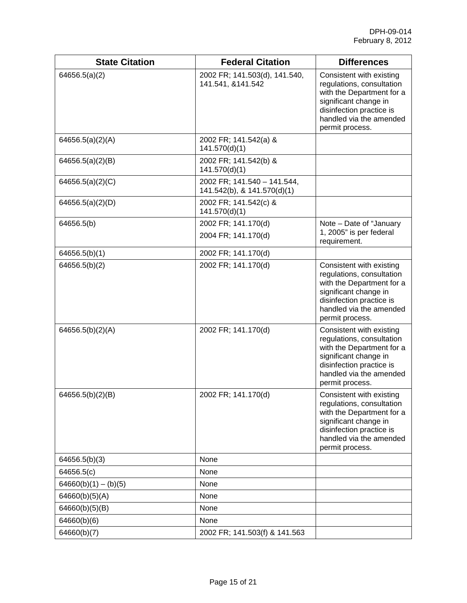| <b>State Citation</b>  | <b>Federal Citation</b>                                    | <b>Differences</b>                                                                                                                                                                    |
|------------------------|------------------------------------------------------------|---------------------------------------------------------------------------------------------------------------------------------------------------------------------------------------|
| 64656.5(a)(2)          | 2002 FR; 141.503(d), 141.540,<br>141.541, &141.542         | Consistent with existing<br>regulations, consultation<br>with the Department for a<br>significant change in<br>disinfection practice is<br>handled via the amended<br>permit process. |
| 64656.5(a)(2)(A)       | 2002 FR; 141.542(a) &<br>141.570(d)(1)                     |                                                                                                                                                                                       |
| 64656.5(a)(2)(B)       | 2002 FR; 141.542(b) &<br>141.570(d)(1)                     |                                                                                                                                                                                       |
| 64656.5(a)(2)(C)       | 2002 FR; 141.540 - 141.544,<br>141.542(b), & 141.570(d)(1) |                                                                                                                                                                                       |
| 64656.5(a) $(2)(D)$    | 2002 FR; 141.542(c) &<br>141.570(d)(1)                     |                                                                                                                                                                                       |
| 64656.5(b)             | 2002 FR; 141.170(d)                                        | Note - Date of "January                                                                                                                                                               |
|                        | 2004 FR; 141.170(d)                                        | 1, 2005" is per federal<br>requirement.                                                                                                                                               |
| 64656.5(b)(1)          | 2002 FR; 141.170(d)                                        |                                                                                                                                                                                       |
| 64656.5(b)(2)          | 2002 FR; 141.170(d)                                        | Consistent with existing<br>regulations, consultation<br>with the Department for a<br>significant change in<br>disinfection practice is<br>handled via the amended<br>permit process. |
| 64656.5(b)(2)(A)       | 2002 FR; 141.170(d)                                        | Consistent with existing<br>regulations, consultation<br>with the Department for a<br>significant change in<br>disinfection practice is<br>handled via the amended<br>permit process. |
| 64656.5(b)(2)(B)       | 2002 FR; 141.170(d)                                        | Consistent with existing<br>regulations, consultation<br>with the Department for a<br>significant change in<br>disinfection practice is<br>handled via the amended<br>permit process. |
| 64656.5(b)(3)          | None                                                       |                                                                                                                                                                                       |
| 64656.5(c)             | None                                                       |                                                                                                                                                                                       |
| $64660(b)(1) - (b)(5)$ | None                                                       |                                                                                                                                                                                       |
| 64660(b)(5)(A)         | None                                                       |                                                                                                                                                                                       |
| 64660(b)(5)(B)         | None                                                       |                                                                                                                                                                                       |
| 64660(b)(6)            | None                                                       |                                                                                                                                                                                       |
| 64660(b)(7)            | 2002 FR; 141.503(f) & 141.563                              |                                                                                                                                                                                       |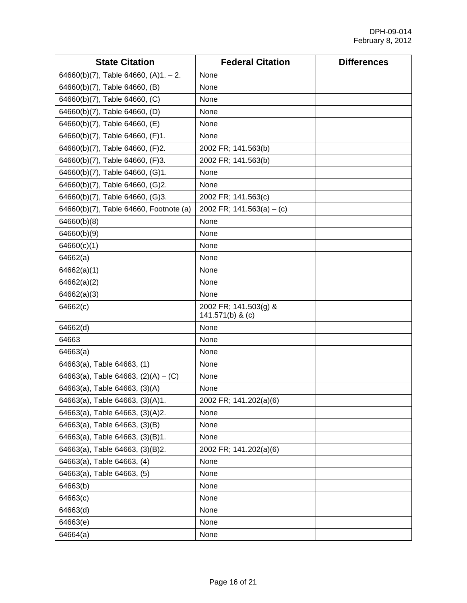| <b>State Citation</b>                  | <b>Federal Citation</b>                   | <b>Differences</b> |
|----------------------------------------|-------------------------------------------|--------------------|
| 64660(b)(7), Table 64660, $(A)1 - 2$ . | None                                      |                    |
| 64660(b)(7), Table 64660, (B)          | None                                      |                    |
| 64660(b)(7), Table 64660, (C)          | None                                      |                    |
| 64660(b)(7), Table 64660, (D)          | None                                      |                    |
| 64660(b)(7), Table 64660, (E)          | None                                      |                    |
| 64660(b)(7), Table 64660, (F)1.        | None                                      |                    |
| 64660(b)(7), Table 64660, (F)2.        | 2002 FR; 141.563(b)                       |                    |
| 64660(b)(7), Table 64660, (F)3.        | 2002 FR; 141.563(b)                       |                    |
| 64660(b)(7), Table 64660, (G)1.        | None                                      |                    |
| 64660(b)(7), Table 64660, (G)2.        | None                                      |                    |
| 64660(b)(7), Table 64660, (G)3.        | 2002 FR; 141.563(c)                       |                    |
| 64660(b)(7), Table 64660, Footnote (a) | 2002 FR; $141.563(a) - (c)$               |                    |
| 64660(b)(8)                            | None                                      |                    |
| 64660(b)(9)                            | None                                      |                    |
| 64660(c)(1)                            | None                                      |                    |
| 64662(a)                               | None                                      |                    |
| 64662(a)(1)                            | None                                      |                    |
| 64662(a)(2)                            | None                                      |                    |
| 64662(a)(3)                            | None                                      |                    |
| 64662(c)                               | 2002 FR; 141.503(g) &<br>141.571(b) & (c) |                    |
| 64662(d)                               | None                                      |                    |
| 64663                                  | None                                      |                    |
| 64663(a)                               | None                                      |                    |
| 64663(a), Table 64663, (1)             | None                                      |                    |
| 64663(a), Table 64663, $(2)(A) - (C)$  | None                                      |                    |
| 64663(a), Table 64663, (3)(A)          | None                                      |                    |
| 64663(a), Table 64663, (3)(A)1.        | 2002 FR; 141.202(a)(6)                    |                    |
| 64663(a), Table 64663, (3)(A)2.        | None                                      |                    |
| 64663(a), Table 64663, (3)(B)          | None                                      |                    |
| 64663(a), Table 64663, (3)(B)1.        | None                                      |                    |
| 64663(a), Table 64663, (3)(B)2.        | 2002 FR; 141.202(a)(6)                    |                    |
| 64663(a), Table 64663, (4)             | None                                      |                    |
| 64663(a), Table 64663, (5)             | None                                      |                    |
| 64663(b)                               | None                                      |                    |
| 64663(c)                               | None                                      |                    |
| 64663(d)                               | None                                      |                    |
| 64663(e)                               | None                                      |                    |
| 64664(a)                               | None                                      |                    |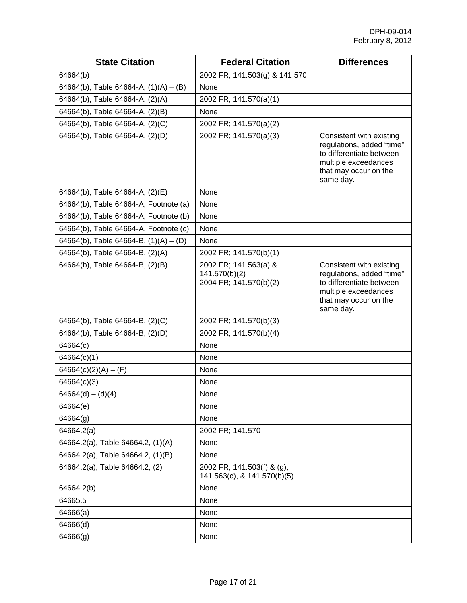| <b>State Citation</b>                   | <b>Federal Citation</b>                                          | <b>Differences</b>                                                                                                                              |
|-----------------------------------------|------------------------------------------------------------------|-------------------------------------------------------------------------------------------------------------------------------------------------|
| 64664(b)                                | 2002 FR; 141.503(g) & 141.570                                    |                                                                                                                                                 |
| 64664(b), Table 64664-A, $(1)(A) - (B)$ | None                                                             |                                                                                                                                                 |
| 64664(b), Table 64664-A, (2)(A)         | 2002 FR; 141.570(a)(1)                                           |                                                                                                                                                 |
| 64664(b), Table 64664-A, (2)(B)         | None                                                             |                                                                                                                                                 |
| 64664(b), Table 64664-A, (2)(C)         | 2002 FR; 141.570(a)(2)                                           |                                                                                                                                                 |
| 64664(b), Table 64664-A, (2)(D)         | 2002 FR; 141.570(a)(3)                                           | Consistent with existing<br>regulations, added "time"<br>to differentiate between<br>multiple exceedances<br>that may occur on the<br>same day. |
| 64664(b), Table 64664-A, (2)(E)         | None                                                             |                                                                                                                                                 |
| 64664(b), Table 64664-A, Footnote (a)   | None                                                             |                                                                                                                                                 |
| 64664(b), Table 64664-A, Footnote (b)   | None                                                             |                                                                                                                                                 |
| 64664(b), Table 64664-A, Footnote (c)   | None                                                             |                                                                                                                                                 |
| 64664(b), Table 64664-B, $(1)(A) - (D)$ | None                                                             |                                                                                                                                                 |
| 64664(b), Table 64664-B, (2)(A)         | 2002 FR; 141.570(b)(1)                                           |                                                                                                                                                 |
| 64664(b), Table 64664-B, (2)(B)         | 2002 FR; 141.563(a) &<br>141.570(b)(2)<br>2004 FR; 141.570(b)(2) | Consistent with existing<br>regulations, added "time"<br>to differentiate between<br>multiple exceedances<br>that may occur on the<br>same day. |
| 64664(b), Table 64664-B, (2)(C)         | 2002 FR; 141.570(b)(3)                                           |                                                                                                                                                 |
| 64664(b), Table 64664-B, (2)(D)         | 2002 FR; 141.570(b)(4)                                           |                                                                                                                                                 |
| 64664(c)                                | None                                                             |                                                                                                                                                 |
| 64664(c)(1)                             | None                                                             |                                                                                                                                                 |
| $64664(c)(2)(A) - (F)$                  | None                                                             |                                                                                                                                                 |
| 64664(c)(3)                             | None                                                             |                                                                                                                                                 |
| $64664(d) - (d)(4)$                     | None                                                             |                                                                                                                                                 |
| 64664(e)                                | None                                                             |                                                                                                                                                 |
| 64664(g)                                | None                                                             |                                                                                                                                                 |
| 64664.2(a)                              | 2002 FR; 141.570                                                 |                                                                                                                                                 |
| 64664.2(a), Table 64664.2, (1)(A)       | None                                                             |                                                                                                                                                 |
| 64664.2(a), Table 64664.2, (1)(B)       | None                                                             |                                                                                                                                                 |
| 64664.2(a), Table 64664.2, (2)          | 2002 FR; 141.503(f) & (g),<br>141.563(c), & 141.570(b)(5)        |                                                                                                                                                 |
| 64664.2(b)                              | None                                                             |                                                                                                                                                 |
| 64665.5                                 | None                                                             |                                                                                                                                                 |
| 64666(a)                                | None                                                             |                                                                                                                                                 |
| 64666(d)                                | None                                                             |                                                                                                                                                 |
| 64666(g)                                | None                                                             |                                                                                                                                                 |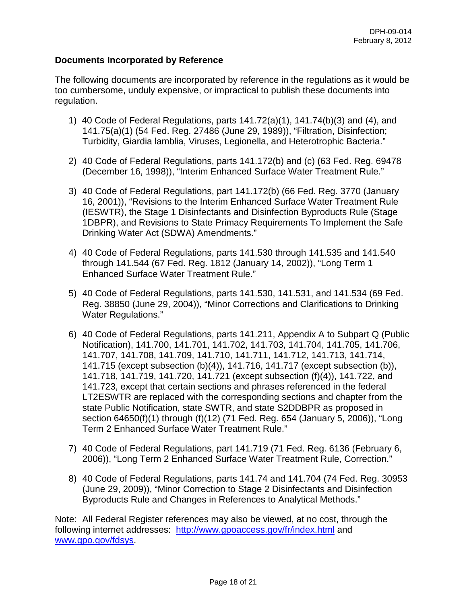### **Documents Incorporated by Reference**

The following documents are incorporated by reference in the regulations as it would be too cumbersome, unduly expensive, or impractical to publish these documents into regulation.

- 1) 40 Code of Federal Regulations, parts 141.72(a)(1), 141.74(b)(3) and (4), and 141.75(a)(1) (54 Fed. Reg. 27486 (June 29, 1989)), "Filtration, Disinfection; Turbidity, Giardia lamblia, Viruses, Legionella, and Heterotrophic Bacteria."
- 2) 40 Code of Federal Regulations, parts 141.172(b) and (c) (63 Fed. Reg. 69478 (December 16, 1998)), "Interim Enhanced Surface Water Treatment Rule."
- 3) 40 Code of Federal Regulations, part 141.172(b) (66 Fed. Reg. 3770 (January 16, 2001)), "Revisions to the Interim Enhanced Surface Water Treatment Rule (IESWTR), the Stage 1 Disinfectants and Disinfection Byproducts Rule (Stage 1DBPR), and Revisions to State Primacy Requirements To Implement the Safe Drinking Water Act (SDWA) Amendments."
- 4) 40 Code of Federal Regulations, parts 141.530 through 141.535 and 141.540 through 141.544 (67 Fed. Reg. 1812 (January 14, 2002)), "Long Term 1 Enhanced Surface Water Treatment Rule."
- 5) 40 Code of Federal Regulations, parts 141.530, 141.531, and 141.534 (69 Fed. Reg. 38850 (June 29, 2004)), "Minor Corrections and Clarifications to Drinking Water Regulations."
- 6) 40 Code of Federal Regulations, parts 141.211, Appendix A to Subpart Q (Public Notification), 141.700, 141.701, 141.702, 141.703, 141.704, 141.705, 141.706, 141.707, 141.708, 141.709, 141.710, 141.711, 141.712, 141.713, 141.714, 141.715 (except subsection (b)(4)), 141.716, 141.717 (except subsection (b)), 141.718, 141.719, 141.720, 141.721 (except subsection (f)(4)), 141.722, and 141.723, except that certain sections and phrases referenced in the federal LT2ESWTR are replaced with the corresponding sections and chapter from the state Public Notification, state SWTR, and state S2DDBPR as proposed in section 64650(f)(1) through (f)(12) (71 Fed. Reg. 654 (January 5, 2006)), "Long Term 2 Enhanced Surface Water Treatment Rule."
- 7) 40 Code of Federal Regulations, part 141.719 (71 Fed. Reg. 6136 (February 6, 2006)), "Long Term 2 Enhanced Surface Water Treatment Rule, Correction."
- 8) 40 Code of Federal Regulations, parts 141.74 and 141.704 (74 Fed. Reg. 30953 (June 29, 2009)), "Minor Correction to Stage 2 Disinfectants and Disinfection Byproducts Rule and Changes in References to Analytical Methods."

Note: All Federal Register references may also be viewed, at no cost, through the following internet addresses: <http://www.gpoaccess.gov/fr/index.html> and [www.gpo.gov/fdsys.](http://www.gpo.gov/fdsys)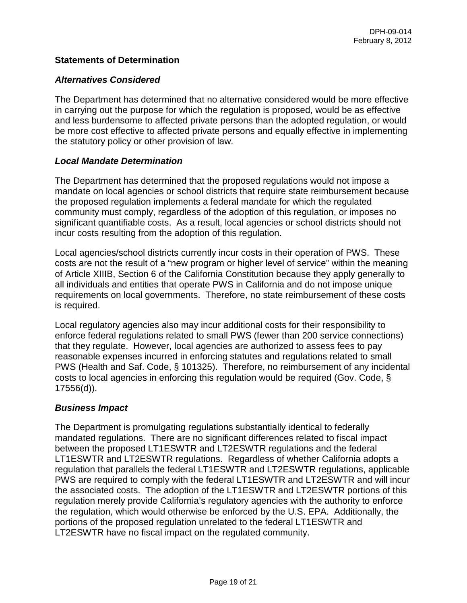### **Statements of Determination**

### *Alternatives Considered*

The Department has determined that no alternative considered would be more effective in carrying out the purpose for which the regulation is proposed, would be as effective and less burdensome to affected private persons than the adopted regulation, or would be more cost effective to affected private persons and equally effective in implementing the statutory policy or other provision of law.

### *Local Mandate Determination*

The Department has determined that the proposed regulations would not impose a mandate on local agencies or school districts that require state reimbursement because the proposed regulation implements a federal mandate for which the regulated community must comply, regardless of the adoption of this regulation, or imposes no significant quantifiable costs. As a result, local agencies or school districts should not incur costs resulting from the adoption of this regulation.

Local agencies/school districts currently incur costs in their operation of PWS. These costs are not the result of a "new program or higher level of service" within the meaning of Article XIIIB, Section 6 of the California Constitution because they apply generally to all individuals and entities that operate PWS in California and do not impose unique requirements on local governments. Therefore, no state reimbursement of these costs is required.

Local regulatory agencies also may incur additional costs for their responsibility to enforce federal regulations related to small PWS (fewer than 200 service connections) that they regulate. However, local agencies are authorized to assess fees to pay reasonable expenses incurred in enforcing statutes and regulations related to small PWS (Health and Saf. Code, § 101325). Therefore, no reimbursement of any incidental costs to local agencies in enforcing this regulation would be required (Gov. Code, § 17556(d)).

# *Business Impact*

The Department is promulgating regulations substantially identical to federally mandated regulations. There are no significant differences related to fiscal impact between the proposed LT1ESWTR and LT2ESWTR regulations and the federal LT1ESWTR and LT2ESWTR regulations. Regardless of whether California adopts a regulation that parallels the federal LT1ESWTR and LT2ESWTR regulations, applicable PWS are required to comply with the federal LT1ESWTR and LT2ESWTR and will incur the associated costs. The adoption of the LT1ESWTR and LT2ESWTR portions of this regulation merely provide California's regulatory agencies with the authority to enforce the regulation, which would otherwise be enforced by the U.S. EPA. Additionally, the portions of the proposed regulation unrelated to the federal LT1ESWTR and LT2ESWTR have no fiscal impact on the regulated community.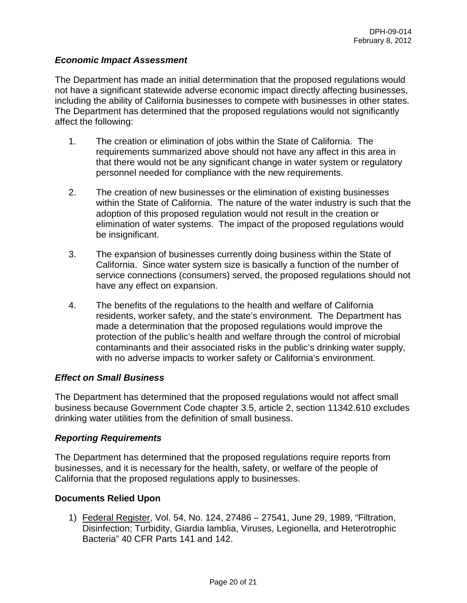### *Economic Impact Assessment*

The Department has made an initial determination that the proposed regulations would not have a significant statewide adverse economic impact directly affecting businesses, including the ability of California businesses to compete with businesses in other states. The Department has determined that the proposed regulations would not significantly affect the following:

- 1. The creation or elimination of jobs within the State of California. The requirements summarized above should not have any affect in this area in that there would not be any significant change in water system or regulatory personnel needed for compliance with the new requirements.
- 2. The creation of new businesses or the elimination of existing businesses within the State of California. The nature of the water industry is such that the adoption of this proposed regulation would not result in the creation or elimination of water systems. The impact of the proposed regulations would be insignificant.
- 3. The expansion of businesses currently doing business within the State of California. Since water system size is basically a function of the number of service connections (consumers) served, the proposed regulations should not have any effect on expansion.
- 4. The benefits of the regulations to the health and welfare of California residents, worker safety, and the state's environment. The Department has made a determination that the proposed regulations would improve the protection of the public's health and welfare through the control of microbial contaminants and their associated risks in the public's drinking water supply, with no adverse impacts to worker safety or California's environment.

### *Effect on Small Business*

The Department has determined that the proposed regulations would not affect small business because Government Code chapter 3.5, article 2, section 11342.610 excludes drinking water utilities from the definition of small business.

### *Reporting Requirements*

The Department has determined that the proposed regulations require reports from businesses, and it is necessary for the health, safety, or welfare of the people of California that the proposed regulations apply to businesses.

### **Documents Relied Upon**

1) Federal Register, Vol. 54, No. 124, 27486 – 27541, June 29, 1989, "Filtration, Disinfection; Turbidity, Giardia lamblia, Viruses, Legionella, and Heterotrophic Bacteria" 40 CFR Parts 141 and 142.